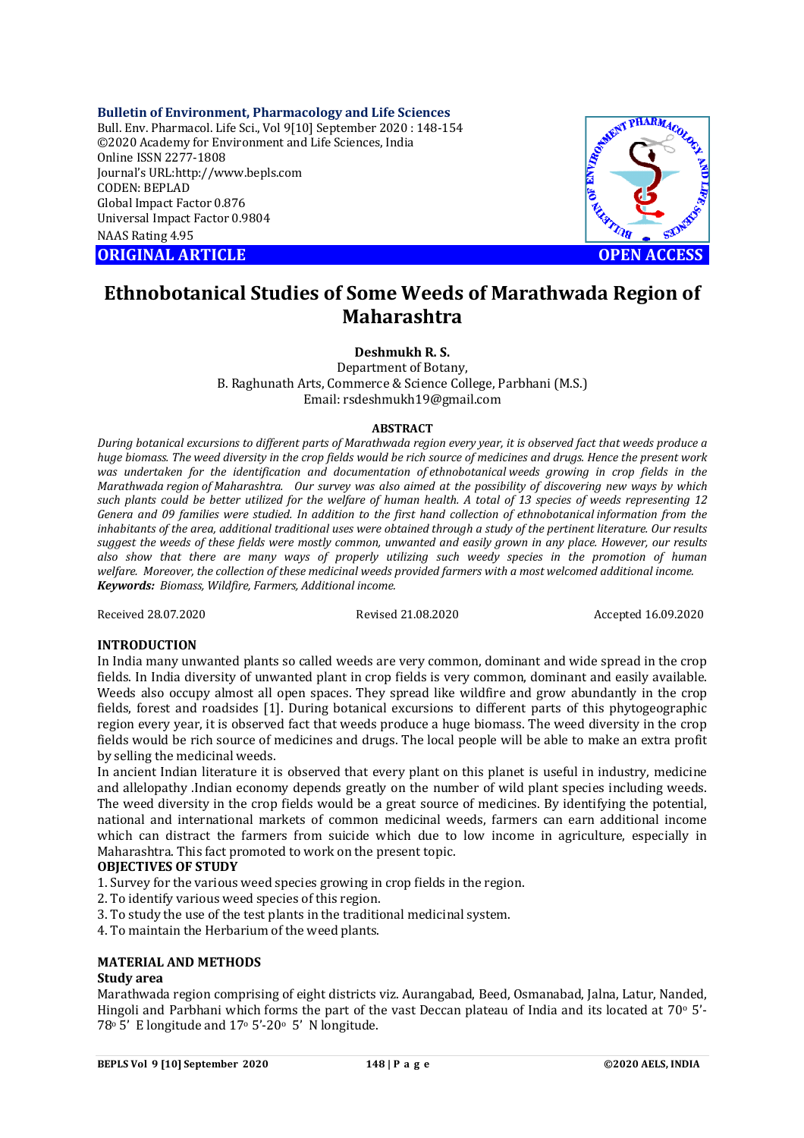**Bulletin of Environment, Pharmacology and Life Sciences**

Bull. Env. Pharmacol. Life Sci., Vol 9[10] September 2020 : 148-154 ©2020 Academy for Environment and Life Sciences, India Online ISSN 2277-1808 Journal's URL:<http://www.bepls.com> CODEN: BEPLAD Global Impact Factor 0.876 Universal Impact Factor 0.9804 NAAS Rating 4.95



# **Ethnobotanical Studies of Some Weeds of Marathwada Region of Maharashtra**

**Deshmukh R. S.**

Department of Botany, B. Raghunath Arts, Commerce & Science College, Parbhani (M.S.) Email: [rsdeshmukh19@gmail.com](mailto:rsdeshmukh19@gmail.com)

#### **ABSTRACT**

*During botanical excursions to different parts of Marathwada region every year, it is observed fact that weeds produce a huge biomass. The weed diversity in the crop fields would be rich source of medicines and drugs. Hence the present work was undertaken for the identification and documentation of ethnobotanical weeds growing in crop fields in the Marathwada region of Maharashtra. Our survey was also aimed at the possibility of discovering new ways by which such plants could be better utilized for the welfare of human health. A total of 13 species of weeds representing 12 Genera and 09 families were studied. In addition to the first hand collection of ethnobotanical information from the inhabitants of the area, additional traditional uses were obtained through a study of the pertinent literature. Our results suggest the weeds of these fields were mostly common, unwanted and easily grown in any place. However, our results also show that there are many ways of properly utilizing such weedy species in the promotion of human welfare. Moreover, the collection of these medicinal weeds provided farmers with a most welcomed additional income. Keywords: Biomass, Wildfire, Farmers, Additional income.*

Received 28.07.2020 Revised 21.08.2020 Accepted 16.09.2020

#### **INTRODUCTION**

In India many unwanted plants so called weeds are very common, dominant and wide spread in the crop fields. In India diversity of unwanted plant in crop fields is very common, dominant and easily available. Weeds also occupy almost all open spaces. They spread like wildfire and grow abundantly in the crop fields, forest and roadsides [1]. During botanical excursions to different parts of this phytogeographic region every year, it is observed fact that weeds produce a huge biomass. The weed diversity in the crop fields would be rich source of medicines and drugs. The local people will be able to make an extra profit by selling the medicinal weeds.

In ancient Indian literature it is observed that every plant on this planet is useful in industry, medicine and allelopathy .Indian economy depends greatly on the number of wild plant species including weeds. The weed diversity in the crop fields would be a great source of medicines. By identifying the potential, national and international markets of common medicinal weeds, farmers can earn additional income which can distract the farmers from suicide which due to low income in agriculture, especially in Maharashtra. This fact promoted to work on the present topic.

#### **OBJECTIVES OF STUDY**

1. Survey for the various weed species growing in crop fields in the region.

- 2. To identify various weed species of this region.
- 3. To study the use of the test plants in the traditional medicinal system.
- 4. To maintain the Herbarium of the weed plants.

#### **MATERIAL AND METHODS**

#### **Study area**

Marathwada region comprising of eight districts viz. Aurangabad, Beed, Osmanabad, Jalna, Latur, Nanded, Hingoli and Parbhani which forms the part of the vast Deccan plateau of India and its located at 70<sup>o</sup> 5'-  $78°5'$  E longitude and  $17°5'$ -20° 5' N longitude.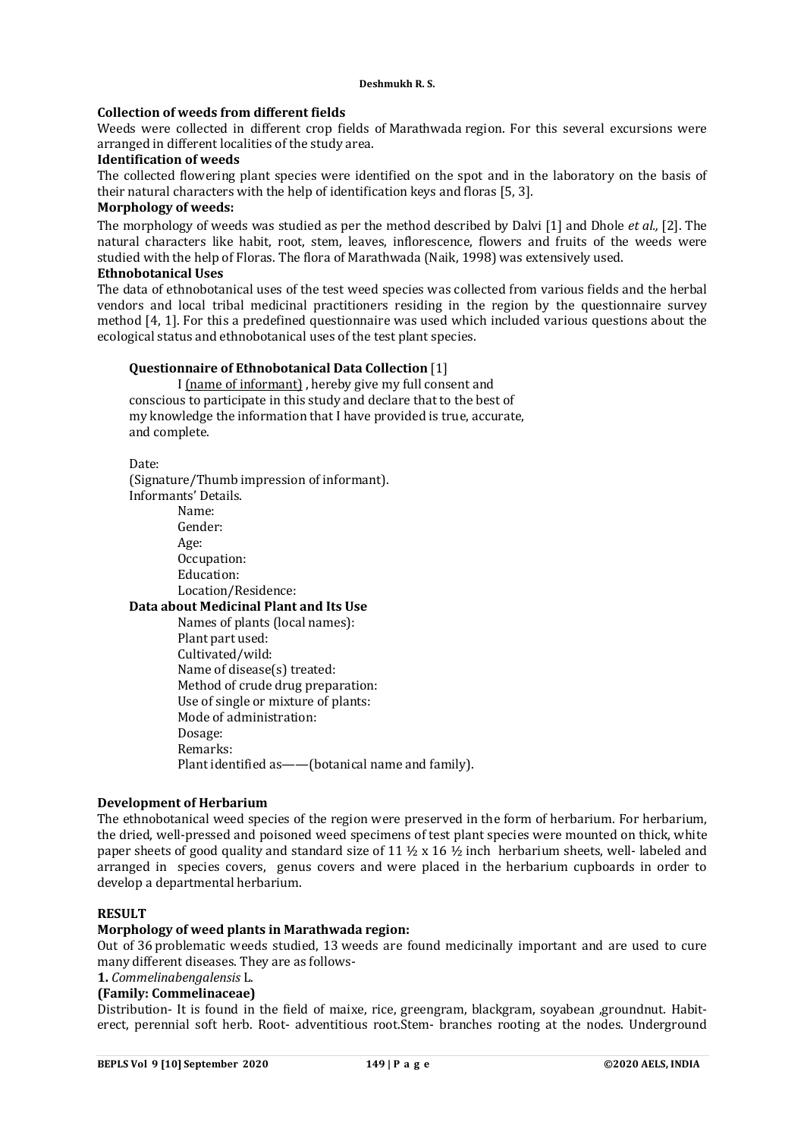#### **Collection of weeds from different fields**

Weeds were collected in different crop fields of Marathwada region. For this several excursions were arranged in different localities of the study area.

#### **Identification of weeds**

The collected flowering plant species were identified on the spot and in the laboratory on the basis of their natural characters with the help of identification keys and floras [5, 3].

#### **Morphology of weeds:**

The morphology of weeds was studied as per the method described by Dalvi [1] and Dhole *et al.,* [2]. The natural characters like habit, root, stem, leaves, inflorescence, flowers and fruits of the weeds were studied with the help of Floras. The flora of Marathwada (Naik, 1998) was extensively used.

#### **Ethnobotanical Uses**

The data of ethnobotanical uses of the test weed species was collected from various fields and the herbal vendors and local tribal medicinal practitioners residing in the region by the questionnaire survey method [4, 1]. For this a predefined questionnaire was used which included various questions about the ecological status and ethnobotanical uses of the test plant species.

#### **Questionnaire of Ethnobotanical Data Collection** [1]

I (name of informant) , hereby give my full consent and conscious to participate in this study and declare that to the best of my knowledge the information that I have provided is true, accurate, and complete.

Date:

(Signature/Thumb impression of informant). Informants' Details. Name: Gender: Age:    Occupation: Education: Location/Residence: **Data about Medicinal Plant and Its Use**    Names of plants (local names): Plant part used: Cultivated/wild: Name of disease(s) treated: Method of crude drug preparation: Use of single or mixture of plants: Mode of administration: Dosage: Remarks: Plant identified as——(botanical name and family).

#### **Development of Herbarium**

The ethnobotanical weed species of the region were preserved in the form of herbarium. For herbarium, the dried, well-pressed and poisoned weed specimens of test plant species were mounted on thick, white paper sheets of good quality and standard size of 11  $\frac{1}{2}$  x 16  $\frac{1}{2}$  inch herbarium sheets, well- labeled and arranged in species covers, genus covers and were placed in the herbarium cupboards in order to develop a departmental herbarium.

#### **RESULT**

#### **Morphology of weed plants in Marathwada region:**

Out of 36 problematic weeds studied, 13 weeds are found medicinally important and are used to cure many different diseases. They are as follows-

#### **1.** *Commelinabengalensis* L.

#### **(Family: Commelinaceae)**

Distribution- It is found in the field of maixe, rice, greengram, blackgram, soyabean ,groundnut. Habiterect, perennial soft herb. Root- adventitious root.Stem- branches rooting at the nodes. Underground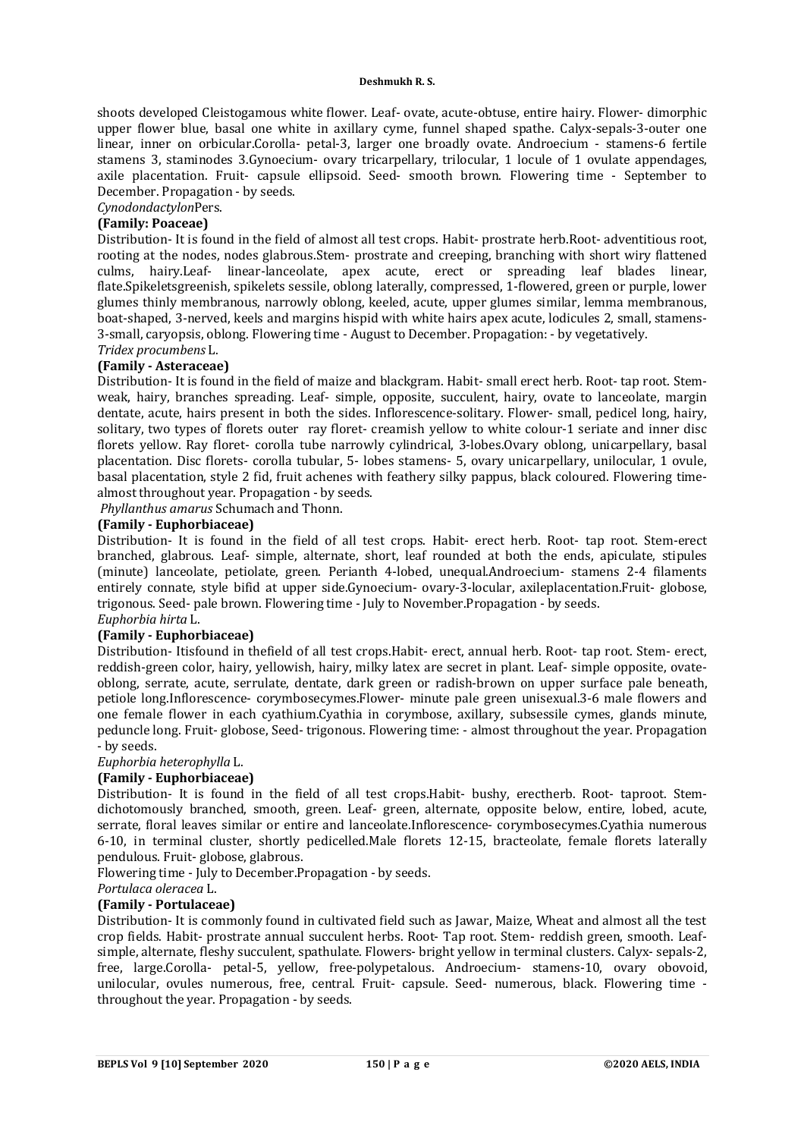shoots developed Cleistogamous white flower. Leaf- ovate, acute-obtuse, entire hairy. Flower- dimorphic upper flower blue, basal one white in axillary cyme, funnel shaped spathe. Calyx-sepals-3-outer one linear, inner on orbicular.Corolla- petal-3, larger one broadly ovate. Androecium - stamens-6 fertile stamens 3, staminodes 3.Gynoecium- ovary tricarpellary, trilocular, 1 locule of 1 ovulate appendages, axile placentation. Fruit- capsule ellipsoid. Seed- smooth brown. Flowering time - September to December. Propagation - by seeds.

# *Cynodondactylon*Pers.

## **(Family: Poaceae)**

Distribution- It is found in the field of almost all test crops. Habit- prostrate herb.Root- adventitious root, rooting at the nodes, nodes glabrous.Stem- prostrate and creeping, branching with short wiry flattened culms, hairy.Leaf- linear-lanceolate, apex acute, erect or spreading leaf blades linear, flate.Spikeletsgreenish, spikelets sessile, oblong laterally, compressed, 1-flowered, green or purple, lower glumes thinly membranous, narrowly oblong, keeled, acute, upper glumes similar, lemma membranous, boat-shaped, 3-nerved, keels and margins hispid with white hairs apex acute, lodicules 2, small, stamens-3-small, caryopsis, oblong. Flowering time - August to December. Propagation: - by vegetatively. *Tridex procumbens* L.

## **(Family - Asteraceae)**

Distribution- It is found in the field of maize and blackgram. Habit- small erect herb. Root- tap root. Stemweak, hairy, branches spreading. Leaf- simple, opposite, succulent, hairy, ovate to lanceolate, margin dentate, acute, hairs present in both the sides. Inflorescence-solitary. Flower- small, pedicel long, hairy, solitary, two types of florets outer ray floret- creamish yellow to white colour-1 seriate and inner disc florets yellow. Ray floret- corolla tube narrowly cylindrical, 3-lobes.Ovary oblong, unicarpellary, basal placentation. Disc florets- corolla tubular, 5- lobes stamens- 5, ovary unicarpellary, unilocular, 1 ovule, basal placentation, style 2 fid, fruit achenes with feathery silky pappus, black coloured. Flowering timealmost throughout year. Propagation - by seeds.

*Phyllanthus amarus* Schumach and Thonn.

#### **(Family - Euphorbiaceae)**

Distribution- It is found in the field of all test crops. Habit- erect herb. Root- tap root. Stem-erect branched, glabrous. Leaf- simple, alternate, short, leaf rounded at both the ends, apiculate, stipules (minute) lanceolate, petiolate, green. Perianth 4-lobed, unequal.Androecium- stamens 2-4 filaments entirely connate, style bifid at upper side.Gynoecium- ovary-3-locular, axileplacentation.Fruit- globose, trigonous. Seed- pale brown. Flowering time - July to November.Propagation - by seeds.

#### *Euphorbia hirta* L. **(Family - Euphorbiaceae)**

Distribution- Itisfound in thefield of all test crops.Habit- erect, annual herb. Root- tap root. Stem- erect, reddish-green color, hairy, yellowish, hairy, milky latex are secret in plant. Leaf- simple opposite, ovateoblong, serrate, acute, serrulate, dentate, dark green or radish-brown on upper surface pale beneath, petiole long.Inflorescence- corymbosecymes.Flower- minute pale green unisexual.3-6 male flowers and one female flower in each cyathium.Cyathia in corymbose, axillary, subsessile cymes, glands minute, peduncle long. Fruit- globose, Seed- trigonous. Flowering time: - almost throughout the year. Propagation - by seeds.

#### *Euphorbia heterophylla* L.

#### **(Family - Euphorbiaceae)**

Distribution- It is found in the field of all test crops.Habit- bushy, erectherb. Root- taproot. Stemdichotomously branched, smooth, green. Leaf- green, alternate, opposite below, entire, lobed, acute, serrate, floral leaves similar or entire and lanceolate.Inflorescence- corymbosecymes.Cyathia numerous 6-10, in terminal cluster, shortly pedicelled.Male florets 12-15, bracteolate, female florets laterally pendulous. Fruit- globose, glabrous.

Flowering time - July to December.Propagation - by seeds.

*Portulaca oleracea* L.

#### **(Family - Portulaceae)**

Distribution- It is commonly found in cultivated field such as Jawar, Maize, Wheat and almost all the test crop fields. Habit- prostrate annual succulent herbs. Root- Tap root. Stem- reddish green, smooth. Leafsimple, alternate, fleshy succulent, spathulate. Flowers- bright yellow in terminal clusters. Calyx- sepals-2, free, large.Corolla- petal-5, yellow, free-polypetalous. Androecium- stamens-10, ovary obovoid, unilocular, ovules numerous, free, central. Fruit- capsule. Seed- numerous, black. Flowering time throughout the year. Propagation - by seeds.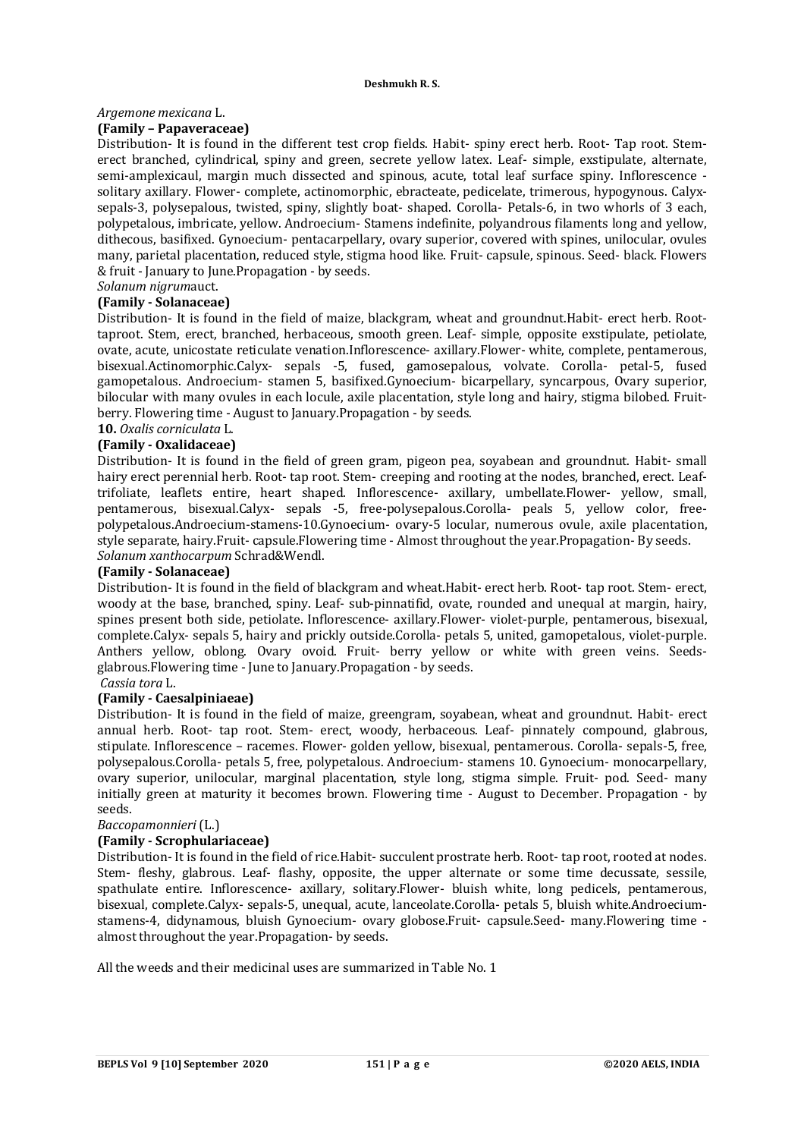#### *Argemone mexicana* L.

#### **(Family – Papaveraceae)**

Distribution- It is found in the different test crop fields. Habit- spiny erect herb. Root- Tap root. Stemerect branched, cylindrical, spiny and green, secrete yellow latex. Leaf- simple, exstipulate, alternate, semi-amplexicaul, margin much dissected and spinous, acute, total leaf surface spiny. Inflorescence solitary axillary. Flower- complete, actinomorphic, ebracteate, pedicelate, trimerous, hypogynous. Calyxsepals-3, polysepalous, twisted, spiny, slightly boat- shaped. Corolla- Petals-6, in two whorls of 3 each, polypetalous, imbricate, yellow. Androecium- Stamens indefinite, polyandrous filaments long and yellow, dithecous, basifixed. Gynoecium- pentacarpellary, ovary superior, covered with spines, unilocular, ovules many, parietal placentation, reduced style, stigma hood like. Fruit- capsule, spinous. Seed- black. Flowers & fruit - January to June.Propagation - by seeds.

#### *Solanum nigrum*auct. **(Family - Solanaceae)**

# Distribution- It is found in the field of maize, blackgram, wheat and groundnut.Habit- erect herb. Root-

taproot. Stem, erect, branched, herbaceous, smooth green. Leaf- simple, opposite exstipulate, petiolate, ovate, acute, unicostate reticulate venation.Inflorescence- axillary.Flower- white, complete, pentamerous, bisexual.Actinomorphic.Calyx- sepals -5, fused, gamosepalous, volvate. Corolla- petal-5, fused gamopetalous. Androecium- stamen 5, basifixed.Gynoecium- bicarpellary, syncarpous, Ovary superior, bilocular with many ovules in each locule, axile placentation, style long and hairy, stigma bilobed. Fruitberry. Flowering time - August to January.Propagation - by seeds.

# **10.** *Oxalis corniculata* L.

### **(Family - Oxalidaceae)**

Distribution- It is found in the field of green gram, pigeon pea, soyabean and groundnut. Habit- small hairy erect perennial herb. Root- tap root. Stem- creeping and rooting at the nodes, branched, erect. Leaftrifoliate, leaflets entire, heart shaped. Inflorescence- axillary, umbellate.Flower- yellow, small, pentamerous, bisexual.Calyx- sepals -5, free-polysepalous.Corolla- peals 5, yellow color, freepolypetalous.Androecium-stamens-10.Gynoecium- ovary-5 locular, numerous ovule, axile placentation, style separate, hairy.Fruit- capsule.Flowering time - Almost throughout the year.Propagation- By seeds. *Solanum xanthocarpum* Schrad&Wendl.

#### **(Family - Solanaceae)**

Distribution- It is found in the field of blackgram and wheat.Habit- erect herb. Root- tap root. Stem- erect, woody at the base, branched, spiny. Leaf- sub-pinnatifid, ovate, rounded and unequal at margin, hairy, spines present both side, petiolate. Inflorescence- axillary.Flower- violet-purple, pentamerous, bisexual, complete.Calyx- sepals 5, hairy and prickly outside.Corolla- petals 5, united, gamopetalous, violet-purple. Anthers yellow, oblong. Ovary ovoid. Fruit- berry yellow or white with green veins. Seedsglabrous.Flowering time - June to January.Propagation - by seeds. *Cassia tora* L.

#### **(Family - Caesalpiniaeae)**

Distribution- It is found in the field of maize, greengram, soyabean, wheat and groundnut. Habit- erect annual herb. Root- tap root. Stem- erect, woody, herbaceous. Leaf- pinnately compound, glabrous, stipulate. Inflorescence – racemes. Flower- golden yellow, bisexual, pentamerous. Corolla- sepals-5, free, polysepalous.Corolla- petals 5, free, polypetalous. Androecium- stamens 10. Gynoecium- monocarpellary, ovary superior, unilocular, marginal placentation, style long, stigma simple. Fruit- pod. Seed- many initially green at maturity it becomes brown. Flowering time - August to December. Propagation - by seeds.

#### *Baccopamonnieri* (L.)

#### **(Family - Scrophulariaceae)**

Distribution- It is found in the field of rice.Habit- succulent prostrate herb. Root- tap root, rooted at nodes. Stem- fleshy, glabrous. Leaf- flashy, opposite, the upper alternate or some time decussate, sessile, spathulate entire. Inflorescence- axillary, solitary.Flower- bluish white, long pedicels, pentamerous, bisexual, complete.Calyx- sepals-5, unequal, acute, lanceolate.Corolla- petals 5, bluish white.Androeciumstamens-4, didynamous, bluish Gynoecium- ovary globose.Fruit- capsule.Seed- many.Flowering time almost throughout the year.Propagation- by seeds.

All the weeds and their medicinal uses are summarized in Table No. 1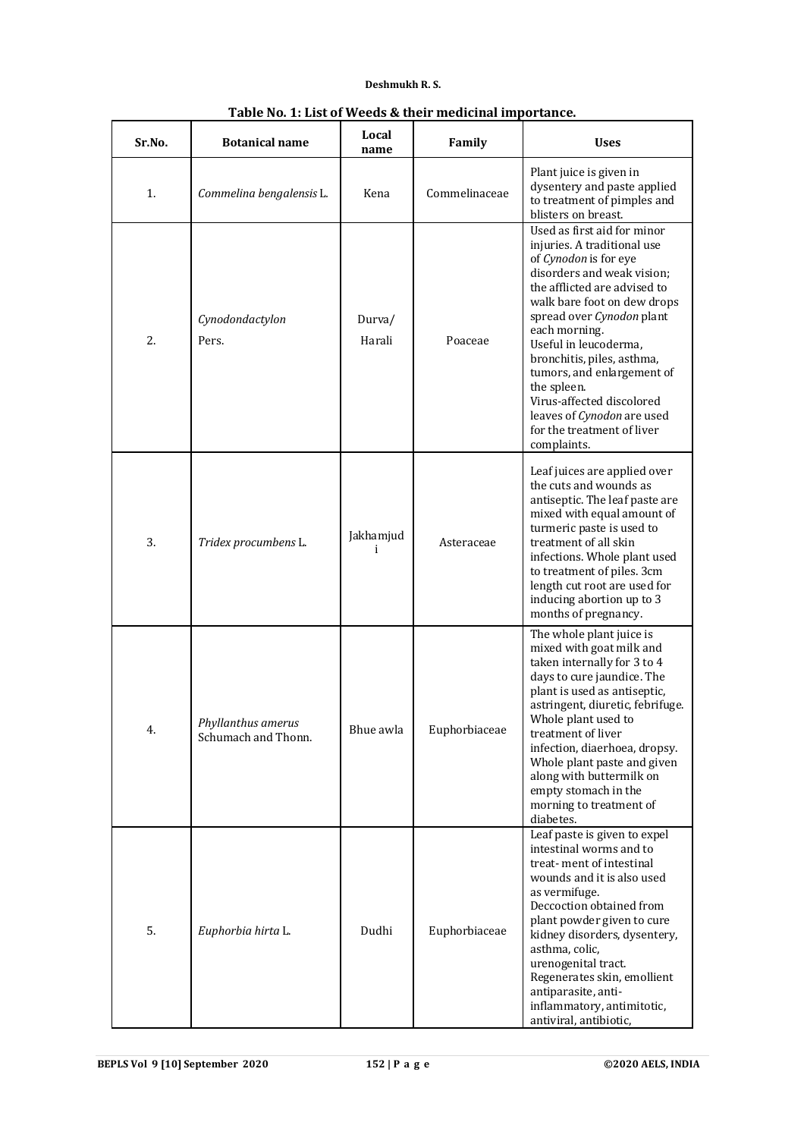| Sr.No. | <b>Botanical name</b>                     | Local<br>name    | Family        | <b>Uses</b>                                                                                                                                                                                                                                                                                                                                                                                                                                |
|--------|-------------------------------------------|------------------|---------------|--------------------------------------------------------------------------------------------------------------------------------------------------------------------------------------------------------------------------------------------------------------------------------------------------------------------------------------------------------------------------------------------------------------------------------------------|
| 1.     | Commelina bengalensis L                   | Kena             | Commelinaceae | Plant juice is given in<br>dysentery and paste applied<br>to treatment of pimples and<br>blisters on breast.                                                                                                                                                                                                                                                                                                                               |
| 2.     | Cynodondactylon<br>Pers.                  | Durva/<br>Harali | Poaceae       | Used as first aid for minor<br>injuries. A traditional use<br>of Cynodon is for eye<br>disorders and weak vision;<br>the afflicted are advised to<br>walk bare foot on dew drops<br>spread over Cynodon plant<br>each morning.<br>Useful in leucoderma,<br>bronchitis, piles, asthma,<br>tumors, and enlargement of<br>the spleen.<br>Virus-affected discolored<br>leaves of Cynodon are used<br>for the treatment of liver<br>complaints. |
| 3.     | Tridex procumbens L.                      | Jakhamjud<br>i   | Asteraceae    | Leaf juices are applied over<br>the cuts and wounds as<br>antiseptic. The leaf paste are<br>mixed with equal amount of<br>turmeric paste is used to<br>treatment of all skin<br>infections. Whole plant used<br>to treatment of piles. 3cm<br>length cut root are used for<br>inducing abortion up to 3<br>months of pregnancy.                                                                                                            |
|        | Phyllanthus amerus<br>Schumach and Thonn. | Bhue awla        | Euphorbiaceae | The whole plant juice is<br>mixed with goat milk and<br>taken internally for 3 to 4<br>days to cure jaundice. The<br>plant is used as antiseptic,<br>astringent, diuretic, febrifuge.<br>Whole plant used to<br>treatment of liver<br>infection, diaerhoea, dropsy.<br>Whole plant paste and given<br>along with buttermilk on<br>empty stomach in the<br>morning to treatment of<br>diabetes.                                             |
| 5.     | Euphorbia hirta L.                        | Dudhi            | Euphorbiaceae | Leaf paste is given to expel<br>intestinal worms and to<br>treat-ment of intestinal<br>wounds and it is also used<br>as vermifuge.<br>Deccoction obtained from<br>plant powder given to cure<br>kidney disorders, dysentery,<br>asthma, colic,<br>urenogenital tract.<br>Regenerates skin, emollient<br>antiparasite, anti-<br>inflammatory, antimitotic,<br>antiviral, antibiotic,                                                        |

## **Table No. 1: List of Weeds & their medicinal importance.**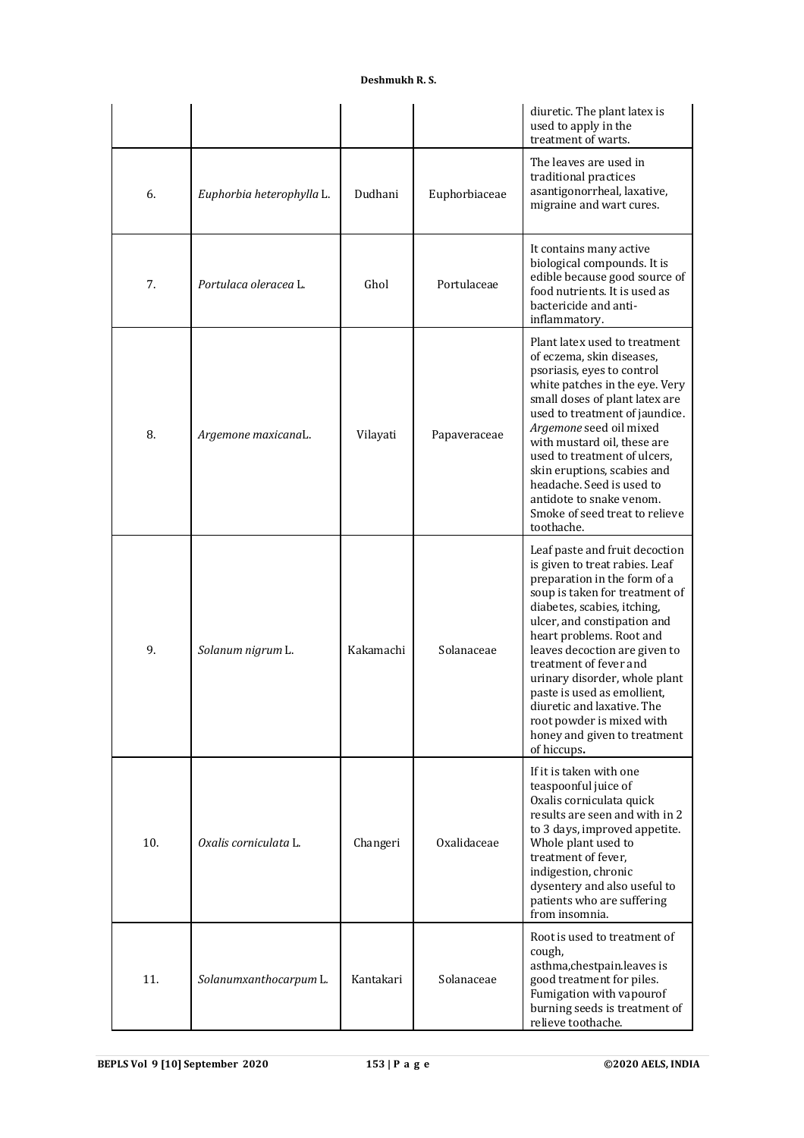|     |                           |           |               | diuretic. The plant latex is<br>used to apply in the<br>treatment of warts.                                                                                                                                                                                                                                                                                                                                                                                       |
|-----|---------------------------|-----------|---------------|-------------------------------------------------------------------------------------------------------------------------------------------------------------------------------------------------------------------------------------------------------------------------------------------------------------------------------------------------------------------------------------------------------------------------------------------------------------------|
| 6.  | Euphorbia heterophylla L. | Dudhani   | Euphorbiaceae | The leaves are used in<br>traditional practices<br>asantigonorrheal, laxative,<br>migraine and wart cures.                                                                                                                                                                                                                                                                                                                                                        |
| 7.  | Portulaca oleracea L.     | Ghol      | Portulaceae   | It contains many active<br>biological compounds. It is<br>edible because good source of<br>food nutrients. It is used as<br>bactericide and anti-<br>inflammatory.                                                                                                                                                                                                                                                                                                |
| 8.  | Argemone maxicanaL.       | Vilayati  | Papaveraceae  | Plant latex used to treatment<br>of eczema, skin diseases,<br>psoriasis, eyes to control<br>white patches in the eye. Very<br>small doses of plant latex are<br>used to treatment of jaundice.<br>Argemone seed oil mixed<br>with mustard oil, these are<br>used to treatment of ulcers,<br>skin eruptions, scabies and<br>headache. Seed is used to<br>antidote to snake venom.<br>Smoke of seed treat to relieve<br>toothache.                                  |
| 9.  | Solanum nigrum L.         | Kakamachi | Solanaceae    | Leaf paste and fruit decoction<br>is given to treat rabies. Leaf<br>preparation in the form of a<br>soup is taken for treatment of<br>diabetes, scabies, itching,<br>ulcer, and constipation and<br>heart problems. Root and<br>leaves decoction are given to<br>treatment of fever and<br>urinary disorder, whole plant<br>paste is used as emollient,<br>diuretic and laxative. The<br>root powder is mixed with<br>honey and given to treatment<br>of hiccups. |
| 10. | Oxalis corniculata L.     | Changeri  | Oxalidaceae   | If it is taken with one<br>teaspoonful juice of<br>Oxalis corniculata quick<br>results are seen and with in 2<br>to 3 days, improved appetite.<br>Whole plant used to<br>treatment of fever,<br>indigestion, chronic<br>dysentery and also useful to<br>patients who are suffering<br>from insomnia.                                                                                                                                                              |
| 11. | Solanumxanthocarpum L.    | Kantakari | Solanaceae    | Root is used to treatment of<br>cough,<br>asthma, chestpain. leaves is<br>good treatment for piles.<br>Fumigation with vapourof<br>burning seeds is treatment of<br>relieve toothache.                                                                                                                                                                                                                                                                            |